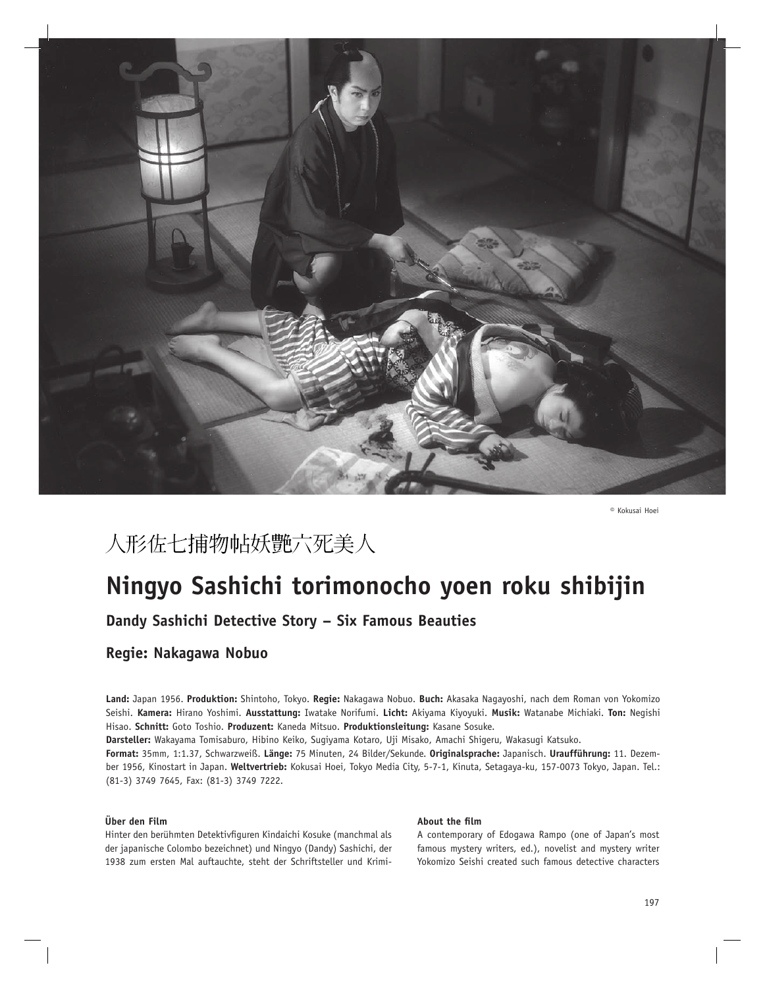

**©** Kokusai Hoei

## 人形佐七捕物帖妖艶六死美人

# **Ningyo Sashichi torimonocho yoen roku shibijin**

**Dandy Sashichi Detective Story – Six Famous Beauties**

## **Regie: Nakagawa Nobuo**

**Land:** Japan 1956. **Produktion:** Shintoho, Tokyo. **Regie:** Nakagawa Nobuo. **Buch:** Akasaka Nagayoshi, nach dem Roman von Yokomizo Seishi. **Kamera:** Hirano Yoshimi. **Ausstattung:** Iwatake Norifumi. **Licht:** Akiyama Kiyoyuki. **Musik:** Watanabe Michiaki. **Ton:** Negishi Hisao. **Schnitt:** Goto Toshio. **Produzent:** Kaneda Mitsuo. **Produktionsleitung:** Kasane Sosuke.

**Darsteller:** Wakayama Tomisaburo, Hibino Keiko, Sugiyama Kotaro, Uji Misako, Amachi Shigeru, Wakasugi Katsuko.

**Format:** 35mm, 1:1.37, Schwarzweiß. **Länge:** 75 Minuten, 24 Bilder/Sekunde. **Originalsprache:** Japanisch. **Uraufführung:** 11. Dezember 1956, Kinostart in Japan. **Weltvertrieb:** Kokusai Hoei, Tokyo Media City, 5-7-1, Kinuta, Setagaya-ku, 157-0073 Tokyo, Japan. Tel.: (81-3) 3749 7645, Fax: (81-3) 3749 7222.

### **Über den Film**

Hinter den berühmten Detektivfiguren Kindaichi Kosuke (manchmal als der japanische Colombo bezeichnet) und Ningyo (Dandy) Sashichi, der 1938 zum ersten Mal auftauchte, steht der Schriftsteller und Krimi-

#### **About the film**

A contemporary of Edogawa Rampo (one of Japan's most famous mystery writers, ed.), novelist and mystery writer Yokomizo Seishi created such famous detective characters